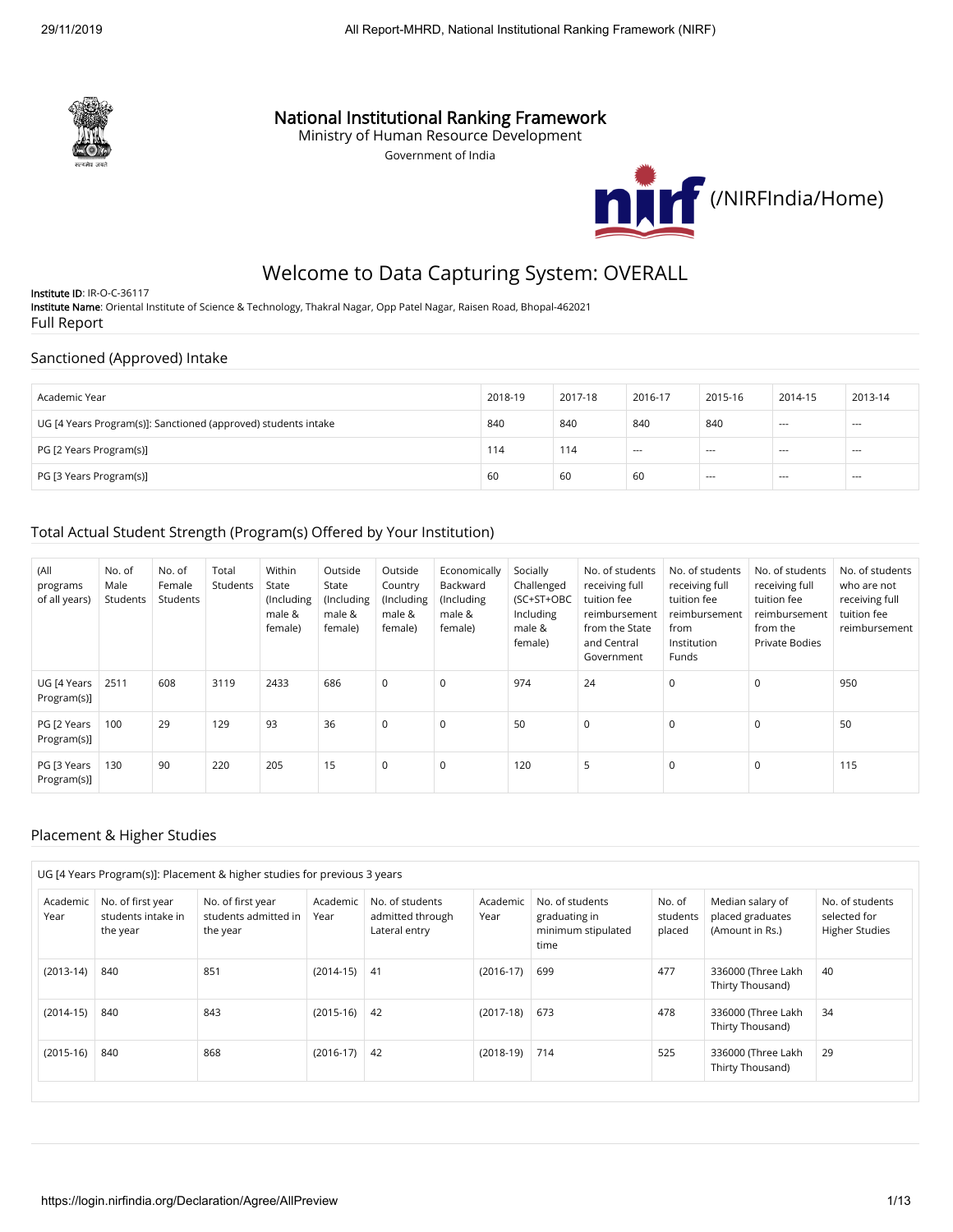

## National Institutional Ranking Framework

Ministry of Human Resource Development

Government of India



# Welcome to Data Capturing System: OVERALL

Institute ID: IR-O-C-36117 Institute Name: Oriental Institute of Science & Technology, Thakral Nagar, Opp Patel Nagar, Raisen Road, Bhopal-462021 Full Report

### Sanctioned (Approved) Intake

| Academic Year                                                  | 2018-19 | 2017-18 | 2016-17 | 2015-16 | 2014-15 | 2013-14 |
|----------------------------------------------------------------|---------|---------|---------|---------|---------|---------|
| UG [4 Years Program(s)]: Sanctioned (approved) students intake | 840     | 840     | 840     | 840     | $- - -$ | $--$    |
| PG [2 Years Program(s)]                                        | 114     | 114     | $- - -$ | $--$    | $- - -$ | $--$    |
| PG [3 Years Program(s)]                                        | 60      | 60      | 60      | $- - -$ | $- - -$ | $- - -$ |

### Total Actual Student Strength (Program(s) Offered by Your Institution)

| (All<br>programs<br>of all years) | No. of<br>Male<br>Students | No. of<br>Female<br>Students | Total<br>Students | Within<br>State<br>(Including<br>male &<br>female) | Outside<br>State<br>(Including<br>male &<br>female) | Outside<br>Country<br>(Including<br>male &<br>female) | Economically<br>Backward<br>(Including<br>male &<br>female) | Socially<br>Challenged<br>(SC+ST+OBC<br>Including<br>male &<br>female) | No. of students<br>receiving full<br>tuition fee<br>reimbursement<br>from the State<br>and Central<br>Government | No. of students<br>receiving full<br>tuition fee<br>reimbursement<br>from<br>Institution<br>Funds | No. of students<br>receiving full<br>tuition fee<br>reimbursement<br>from the<br><b>Private Bodies</b> | No. of students<br>who are not<br>receiving full<br>tuition fee<br>reimbursement |
|-----------------------------------|----------------------------|------------------------------|-------------------|----------------------------------------------------|-----------------------------------------------------|-------------------------------------------------------|-------------------------------------------------------------|------------------------------------------------------------------------|------------------------------------------------------------------------------------------------------------------|---------------------------------------------------------------------------------------------------|--------------------------------------------------------------------------------------------------------|----------------------------------------------------------------------------------|
| UG [4 Years<br>Program(s)]        | 2511                       | 608                          | 3119              | 2433                                               | 686                                                 | 0                                                     | $\mathbf 0$                                                 | 974                                                                    | 24                                                                                                               | $\mathbf 0$                                                                                       | $\mathbf 0$                                                                                            | 950                                                                              |
| PG [2 Years<br>Program(s)]        | 100                        | 29                           | 129               | 93                                                 | 36                                                  | $\mathbf 0$                                           | $\mathbf 0$                                                 | 50                                                                     | $\Omega$                                                                                                         | 0                                                                                                 | $\mathbf 0$                                                                                            | 50                                                                               |
| PG [3 Years<br>Program(s)]        | 130                        | 90                           | 220               | 205                                                | 15                                                  | $\mathbf 0$                                           | $\mathbf 0$                                                 | 120                                                                    | 5                                                                                                                | $\mathbf 0$                                                                                       | $\mathbf 0$                                                                                            | 115                                                                              |

### Placement & Higher Studies

| Academic<br>Year | No. of first year<br>students intake in<br>the year | No. of first year<br>students admitted in<br>the year | Academic<br>Year | No. of students<br>admitted through<br>Lateral entry | Academic<br>Year | No. of students<br>graduating in<br>minimum stipulated<br>time | No. of<br>students<br>placed | Median salary of<br>placed graduates<br>(Amount in Rs.) | No. of students<br>selected for<br><b>Higher Studies</b> |
|------------------|-----------------------------------------------------|-------------------------------------------------------|------------------|------------------------------------------------------|------------------|----------------------------------------------------------------|------------------------------|---------------------------------------------------------|----------------------------------------------------------|
| $(2013-14)$      | 840                                                 | 851                                                   | $(2014-15)$ 41   |                                                      | $(2016-17)$      | 699                                                            | 477                          | 336000 (Three Lakh<br>Thirty Thousand)                  | 40                                                       |
| $(2014-15)$      | 840                                                 | 843                                                   | $(2015-16)$ 42   |                                                      | $(2017-18)$      | 673                                                            | 478                          | 336000 (Three Lakh<br>Thirty Thousand)                  | 34                                                       |
| $(2015-16)$      | 840                                                 | 868                                                   | $(2016-17)$      | 42                                                   | $(2018-19)$      | 714                                                            | 525                          | 336000 (Three Lakh<br>Thirty Thousand)                  | 29                                                       |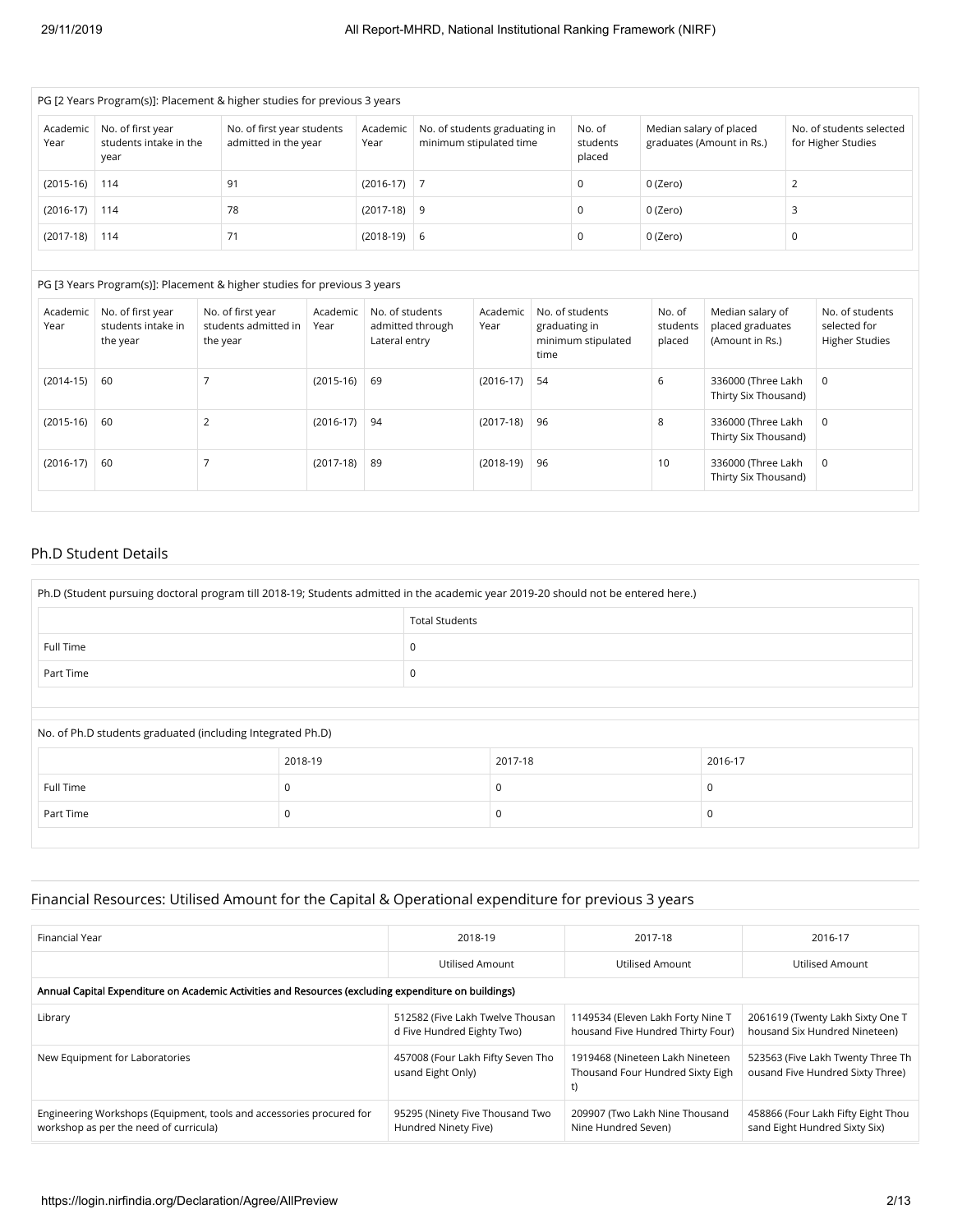| PG [2 Years Program(s)]: Placement & higher studies for previous 3 years |                                                     |                                                    |                  |                                                          |                              |                                                      |                                                |  |  |
|--------------------------------------------------------------------------|-----------------------------------------------------|----------------------------------------------------|------------------|----------------------------------------------------------|------------------------------|------------------------------------------------------|------------------------------------------------|--|--|
| Academic<br>Year                                                         | No. of first year<br>students intake in the<br>year | No. of first year students<br>admitted in the year | Academic<br>Year | No. of students graduating in<br>minimum stipulated time | No. of<br>students<br>placed | Median salary of placed<br>graduates (Amount in Rs.) | No. of students selected<br>for Higher Studies |  |  |
| $(2015-16)$                                                              | 114                                                 | 91                                                 | $(2016-17)$ 7    |                                                          | 0                            | 0 (Zero)                                             |                                                |  |  |
| $(2016-17)$                                                              | 114                                                 | 78                                                 | $(2017-18)$ 9    |                                                          | 0                            | 0 (Zero)                                             |                                                |  |  |
| $(2017-18)$                                                              | 114                                                 | 71                                                 | $(2018-19)$ 6    |                                                          | 0                            | 0 (Zero)                                             | 0                                              |  |  |

#### PG [3 Years Program(s)]: Placement & higher studies for previous 3 years

| Academic<br>Year | No. of first year<br>students intake in<br>the year | No. of first year<br>students admitted in<br>the year | Academic<br>Year | No. of students<br>admitted through<br>Lateral entry | Academic<br>Year | No. of students<br>graduating in<br>minimum stipulated<br>time | No. of<br>students<br>placed | Median salary of<br>placed graduates<br>(Amount in Rs.) | No. of students<br>selected for<br><b>Higher Studies</b> |
|------------------|-----------------------------------------------------|-------------------------------------------------------|------------------|------------------------------------------------------|------------------|----------------------------------------------------------------|------------------------------|---------------------------------------------------------|----------------------------------------------------------|
| $(2014-15)$      | 60                                                  |                                                       | $(2015-16)$      | 69                                                   | $(2016-17)$      | 54                                                             | 6                            | 336000 (Three Lakh<br>Thirty Six Thousand)              | $\overline{0}$                                           |
| $(2015-16)$      | 60                                                  |                                                       | $(2016-17)$      | 94                                                   | $(2017-18)$      | 96                                                             | 8                            | 336000 (Three Lakh<br>Thirty Six Thousand)              | 0                                                        |
| $(2016-17)$      | 60                                                  |                                                       | $(2017-18)$      | 89                                                   | $(2018-19)$      | 96                                                             | 10                           | 336000 (Three Lakh<br>Thirty Six Thousand)              | $\overline{0}$                                           |

#### Ph.D Student Details

| Ph.D (Student pursuing doctoral program till 2018-19; Students admitted in the academic year 2019-20 should not be entered here.) |                       |  |         |          |  |  |  |
|-----------------------------------------------------------------------------------------------------------------------------------|-----------------------|--|---------|----------|--|--|--|
|                                                                                                                                   | <b>Total Students</b> |  |         |          |  |  |  |
| Full Time                                                                                                                         |                       |  |         |          |  |  |  |
| Part Time                                                                                                                         |                       |  |         |          |  |  |  |
|                                                                                                                                   |                       |  |         |          |  |  |  |
| No. of Ph.D students graduated (including Integrated Ph.D)                                                                        |                       |  |         |          |  |  |  |
|                                                                                                                                   | 2018-19               |  | 2017-18 | 2016-17  |  |  |  |
| Full Time<br>$\Omega$<br>$\Omega$                                                                                                 |                       |  |         |          |  |  |  |
| Part Time                                                                                                                         | $\Omega$              |  |         | $\Omega$ |  |  |  |

### Financial Resources: Utilised Amount for the Capital & Operational expenditure for previous 3 years

| Financial Year                                                                                                 | 2018-19                                                        | 2017-18                                                                   | 2016-17                                                               |
|----------------------------------------------------------------------------------------------------------------|----------------------------------------------------------------|---------------------------------------------------------------------------|-----------------------------------------------------------------------|
|                                                                                                                | Utilised Amount                                                | Utilised Amount                                                           | Utilised Amount                                                       |
| Annual Capital Expenditure on Academic Activities and Resources (excluding expenditure on buildings)           |                                                                |                                                                           |                                                                       |
| Library                                                                                                        | 512582 (Five Lakh Twelve Thousan<br>d Five Hundred Eighty Two) | 1149534 (Eleven Lakh Forty Nine T<br>housand Five Hundred Thirty Four)    | 2061619 (Twenty Lakh Sixty One T<br>housand Six Hundred Nineteen)     |
| New Equipment for Laboratories                                                                                 | 457008 (Four Lakh Fifty Seven Tho<br>usand Eight Only)         | 1919468 (Nineteen Lakh Nineteen<br>Thousand Four Hundred Sixty Eigh<br>t) | 523563 (Five Lakh Twenty Three Th<br>ousand Five Hundred Sixty Three) |
| Engineering Workshops (Equipment, tools and accessories procured for<br>workshop as per the need of curricula) | 95295 (Ninety Five Thousand Two<br>Hundred Ninety Five)        | 209907 (Two Lakh Nine Thousand<br>Nine Hundred Seven)                     | 458866 (Four Lakh Fifty Eight Thou<br>sand Eight Hundred Sixty Six)   |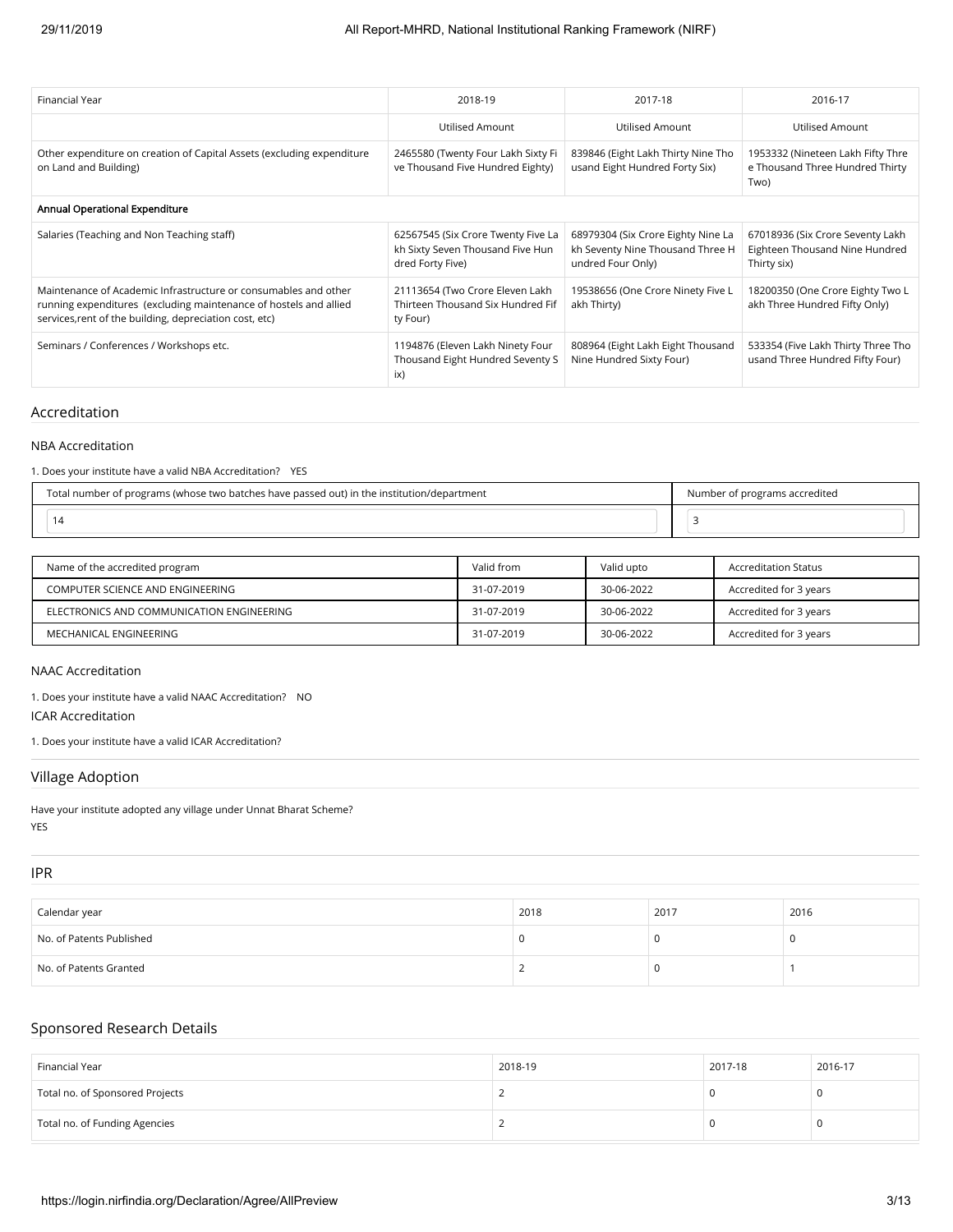| Financial Year                                                                                                                                                                                  | 2018-19                                                                                    | 2017-18                                                                                     | 2016-17                                                                           |
|-------------------------------------------------------------------------------------------------------------------------------------------------------------------------------------------------|--------------------------------------------------------------------------------------------|---------------------------------------------------------------------------------------------|-----------------------------------------------------------------------------------|
|                                                                                                                                                                                                 | Utilised Amount                                                                            | Utilised Amount                                                                             | Utilised Amount                                                                   |
| Other expenditure on creation of Capital Assets (excluding expenditure<br>on Land and Building)                                                                                                 | 2465580 (Twenty Four Lakh Sixty Fi<br>ve Thousand Five Hundred Eighty)                     | 839846 (Eight Lakh Thirty Nine Tho<br>usand Eight Hundred Forty Six)                        | 1953332 (Nineteen Lakh Fifty Thre<br>e Thousand Three Hundred Thirty<br>Two)      |
| Annual Operational Expenditure                                                                                                                                                                  |                                                                                            |                                                                                             |                                                                                   |
| Salaries (Teaching and Non Teaching staff)                                                                                                                                                      | 62567545 (Six Crore Twenty Five La<br>kh Sixty Seven Thousand Five Hun<br>dred Forty Five) | 68979304 (Six Crore Eighty Nine La<br>kh Seventy Nine Thousand Three H<br>undred Four Only) | 67018936 (Six Crore Seventy Lakh<br>Eighteen Thousand Nine Hundred<br>Thirty six) |
| Maintenance of Academic Infrastructure or consumables and other<br>running expenditures (excluding maintenance of hostels and allied<br>services, rent of the building, depreciation cost, etc) | 21113654 (Two Crore Eleven Lakh<br>Thirteen Thousand Six Hundred Fif<br>ty Four)           | 19538656 (One Crore Ninety Five L<br>akh Thirty)                                            | 18200350 (One Crore Eighty Two L<br>akh Three Hundred Fifty Only)                 |
| Seminars / Conferences / Workshops etc.                                                                                                                                                         | 1194876 (Eleven Lakh Ninety Four<br>Thousand Eight Hundred Seventy S<br>ix)                | 808964 (Eight Lakh Eight Thousand<br>Nine Hundred Sixty Four)                               | 533354 (Five Lakh Thirty Three Tho<br>usand Three Hundred Fifty Four)             |

### Accreditation

#### NBA Accreditation

1. Does your institute have a valid NBA Accreditation? YES

| Total number of programs (whose two batches have passed out) in the institution/department | f programs accredited<br>Number |
|--------------------------------------------------------------------------------------------|---------------------------------|
|                                                                                            |                                 |

| Name of the accredited program            | Valid from | Valid upto | Accreditation Status   |
|-------------------------------------------|------------|------------|------------------------|
| COMPUTER SCIENCE AND ENGINEERING          | 31-07-2019 | 30-06-2022 | Accredited for 3 years |
| ELECTRONICS AND COMMUNICATION ENGINEERING | 31-07-2019 | 30-06-2022 | Accredited for 3 years |
| MECHANICAL ENGINEERING                    | 31-07-2019 | 30-06-2022 | Accredited for 3 years |

#### NAAC Accreditation

1. Does your institute have a valid NAAC Accreditation? NO

ICAR Accreditation

1. Does your institute have a valid ICAR Accreditation?

#### Village Adoption

Have your institute adopted any village under Unnat Bharat Scheme? YES

### IPR

| Calendar year            | 2018 | 2017 | 2016 |
|--------------------------|------|------|------|
| No. of Patents Published |      |      |      |
| No. of Patents Granted   |      |      |      |

#### Sponsored Research Details

| Financial Year                  | 2018-19 | 2017-18 | 2016-17 |
|---------------------------------|---------|---------|---------|
| Total no. of Sponsored Projects |         |         | u       |
| Total no. of Funding Agencies   |         |         | u       |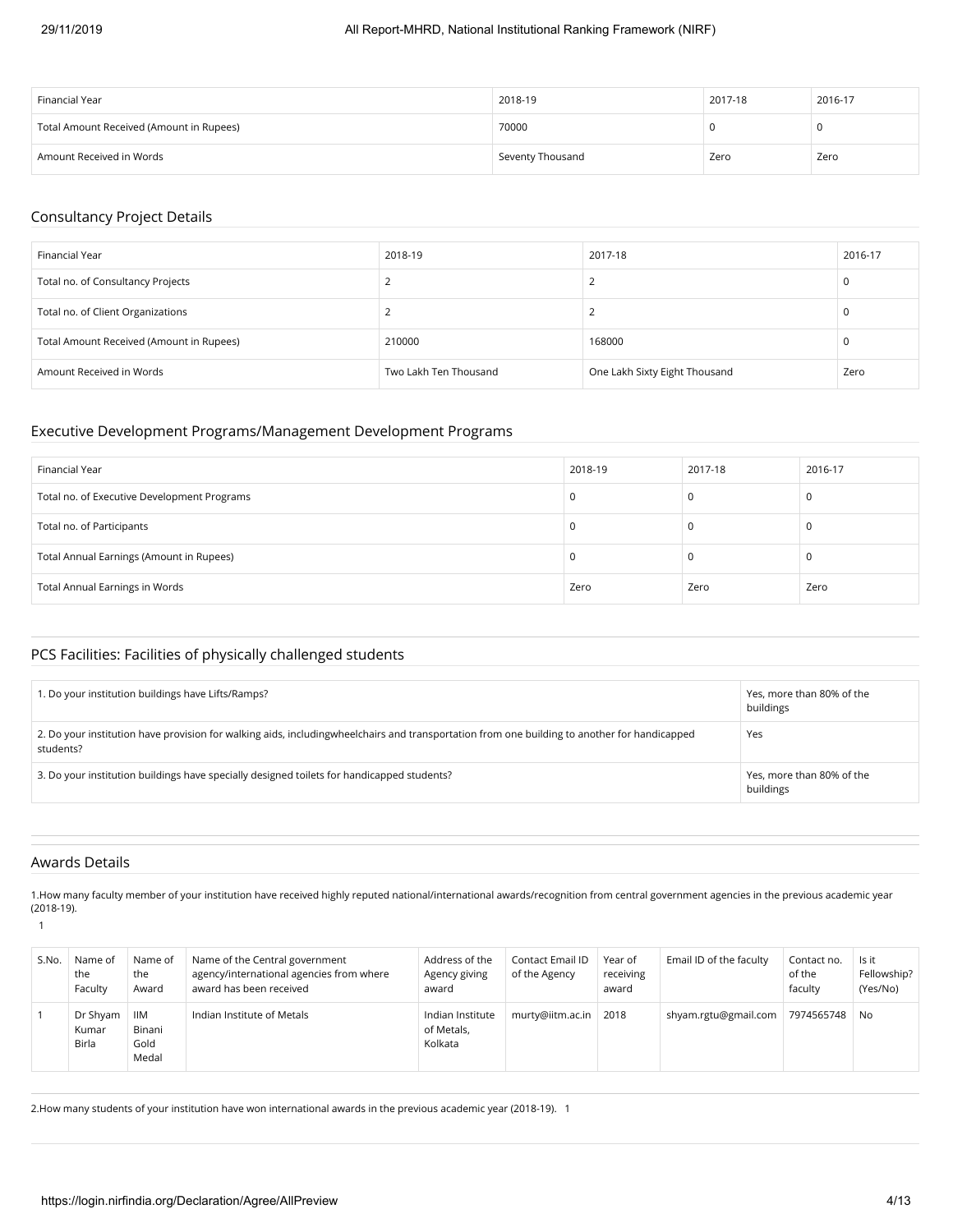| Financial Year                           | 2018-19          | 2017-18 | 2016-17 |
|------------------------------------------|------------------|---------|---------|
| Total Amount Received (Amount in Rupees) | 70000            |         |         |
| Amount Received in Words                 | Seventy Thousand | Zero    | Zero    |

### Consultancy Project Details

| Financial Year                           | 2018-19               | 2017-18                       | 2016-17 |
|------------------------------------------|-----------------------|-------------------------------|---------|
| Total no. of Consultancy Projects        |                       |                               | u       |
| Total no. of Client Organizations        |                       |                               | u       |
| Total Amount Received (Amount in Rupees) | 210000                | 168000                        | u       |
| Amount Received in Words                 | Two Lakh Ten Thousand | One Lakh Sixty Eight Thousand | Zero    |

### Executive Development Programs/Management Development Programs

| Financial Year                              | 2018-19 | 2017-18 | 2016-17 |
|---------------------------------------------|---------|---------|---------|
| Total no. of Executive Development Programs |         | υ       |         |
| Total no. of Participants                   |         |         |         |
| Total Annual Earnings (Amount in Rupees)    |         | υ       | U       |
| Total Annual Earnings in Words              | Zero    | Zero    | Zero    |

### PCS Facilities: Facilities of physically challenged students

| 1. Do your institution buildings have Lifts/Ramps?                                                                                                        | Yes, more than 80% of the<br>buildings |
|-----------------------------------------------------------------------------------------------------------------------------------------------------------|----------------------------------------|
| 2. Do your institution have provision for walking aids, includingwheelchairs and transportation from one building to another for handicapped<br>students? | Yes                                    |
| 3. Do your institution buildings have specially designed toilets for handicapped students?                                                                | Yes, more than 80% of the<br>buildings |

#### Awards Details

1.How many faculty member of your institution have received highly reputed national/international awards/recognition from central government agencies in the previous academic year (2018-19).

1

| S.No. | Name of<br>the<br>Faculty         | Name of<br>the<br>Award               | Name of the Central government<br>agency/international agencies from where<br>award has been received | Address of the<br>Agency giving<br>award  | Contact Email ID<br>of the Agency | Year of<br>receiving<br>award | Email ID of the faculty | Contact no.<br>of the<br>faculty | Is it<br>Fellowship?<br>(Yes/No) |
|-------|-----------------------------------|---------------------------------------|-------------------------------------------------------------------------------------------------------|-------------------------------------------|-----------------------------------|-------------------------------|-------------------------|----------------------------------|----------------------------------|
|       | Dr Shyam<br>Kumar<br><b>Birla</b> | <b>IIM</b><br>Binani<br>Gold<br>Medal | Indian Institute of Metals                                                                            | Indian Institute<br>of Metals.<br>Kolkata | $murty@iitm.ac.in$ 2018           |                               | shyam.rgtu@gmail.com    | 7974565748                       | No                               |

2.How many students of your institution have won international awards in the previous academic year (2018-19). 1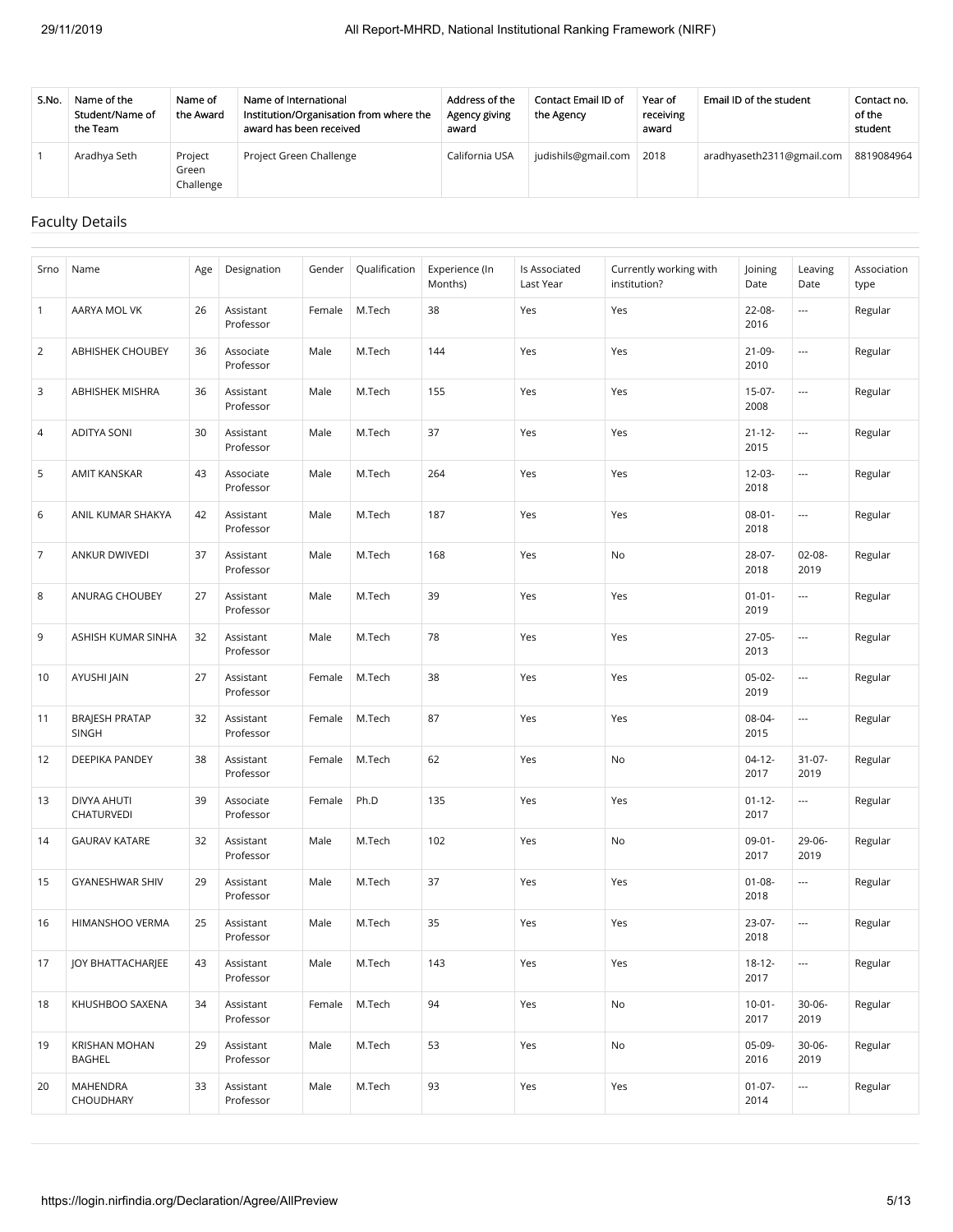| S.No. | Name of the<br>Student/Name of<br>the Team | Name of<br>the Award          | Name of International<br>Institution/Organisation from where the<br>award has been received | Address of the<br>Agency giving<br>award | Contact Email ID of<br>the Agency | Year of<br>receiving<br>award | Email ID of the student   | Contact no.<br>of the<br>student |
|-------|--------------------------------------------|-------------------------------|---------------------------------------------------------------------------------------------|------------------------------------------|-----------------------------------|-------------------------------|---------------------------|----------------------------------|
|       | Aradhya Seth                               | Project<br>Green<br>Challenge | Project Green Challenge                                                                     | California USA                           | judishils@gmail.com               | 2018                          | aradhyaseth2311@gmail.com | 8819084964                       |

### Faculty Details

| Srno           | Name                                  | Age | Designation            | Gender | Qualification | Experience (In<br>Months) | Is Associated<br>Last Year | Currently working with<br>institution? | Joining<br>Date     | Leaving<br>Date          | Association<br>type |
|----------------|---------------------------------------|-----|------------------------|--------|---------------|---------------------------|----------------------------|----------------------------------------|---------------------|--------------------------|---------------------|
| $\mathbf{1}$   | AARYA MOL VK                          | 26  | Assistant<br>Professor | Female | M.Tech        | 38                        | Yes                        | Yes                                    | 22-08-<br>2016      | ---                      | Regular             |
| $\overline{2}$ | <b>ABHISHEK CHOUBEY</b>               | 36  | Associate<br>Professor | Male   | M.Tech        | 144                       | Yes                        | Yes                                    | $21-09-$<br>2010    | $\overline{\phantom{a}}$ | Regular             |
| 3              | ABHISHEK MISHRA                       | 36  | Assistant<br>Professor | Male   | M.Tech        | 155                       | Yes                        | Yes                                    | $15-07-$<br>2008    | ---                      | Regular             |
| 4              | <b>ADITYA SONI</b>                    | 30  | Assistant<br>Professor | Male   | M.Tech        | 37                        | Yes                        | Yes                                    | $21 - 12 -$<br>2015 | $\overline{\phantom{a}}$ | Regular             |
| 5              | AMIT KANSKAR                          | 43  | Associate<br>Professor | Male   | M.Tech        | 264                       | Yes                        | Yes                                    | 12-03-<br>2018      | ---                      | Regular             |
| 6              | ANIL KUMAR SHAKYA                     | 42  | Assistant<br>Professor | Male   | M.Tech        | 187                       | Yes                        | Yes                                    | $08 - 01 -$<br>2018 | $\overline{\phantom{a}}$ | Regular             |
| $\overline{7}$ | ANKUR DWIVEDI                         | 37  | Assistant<br>Professor | Male   | M.Tech        | 168                       | Yes                        | No                                     | 28-07-<br>2018      | $02 - 08 -$<br>2019      | Regular             |
| 8              | ANURAG CHOUBEY                        | 27  | Assistant<br>Professor | Male   | M.Tech        | 39                        | Yes                        | Yes                                    | $01 - 01 -$<br>2019 | $\overline{\phantom{a}}$ | Regular             |
| 9              | ASHISH KUMAR SINHA                    | 32  | Assistant<br>Professor | Male   | M.Tech        | 78                        | Yes                        | Yes                                    | 27-05-<br>2013      | $\hspace{0.05cm}\ldots$  | Regular             |
| 10             | AYUSHI JAIN                           | 27  | Assistant<br>Professor | Female | M.Tech        | 38                        | Yes                        | Yes                                    | $05-02-$<br>2019    | $\overline{\phantom{a}}$ | Regular             |
| 11             | <b>BRAJESH PRATAP</b><br><b>SINGH</b> | 32  | Assistant<br>Professor | Female | M.Tech        | 87                        | Yes                        | Yes                                    | 08-04-<br>2015      | $\overline{\phantom{a}}$ | Regular             |
| 12             | DEEPIKA PANDEY                        | 38  | Assistant<br>Professor | Female | M.Tech        | 62                        | Yes                        | No                                     | $04-12-$<br>2017    | $31-07-$<br>2019         | Regular             |
| 13             | DIVYA AHUTI<br>CHATURVEDI             | 39  | Associate<br>Professor | Female | Ph.D          | 135                       | Yes                        | Yes                                    | $01 - 12 -$<br>2017 | $\overline{\phantom{a}}$ | Regular             |
| 14             | <b>GAURAV KATARE</b>                  | 32  | Assistant<br>Professor | Male   | M.Tech        | 102                       | Yes                        | No                                     | $09-01 -$<br>2017   | 29-06-<br>2019           | Regular             |
| 15             | GYANESHWAR SHIV                       | 29  | Assistant<br>Professor | Male   | M.Tech        | 37                        | Yes                        | Yes                                    | $01 - 08 -$<br>2018 | $\overline{\phantom{a}}$ | Regular             |
| 16             | HIMANSHOO VERMA                       | 25  | Assistant<br>Professor | Male   | M.Tech        | 35                        | Yes                        | Yes                                    | 23-07-<br>2018      | ---                      | Regular             |
| 17             | JOY BHATTACHARJEE                     | 43  | Assistant<br>Professor | Male   | M.Tech        | 143                       | Yes                        | Yes                                    | $18 - 12 -$<br>2017 | $\hspace{0.05cm}\ldots$  | Regular             |
| 18             | KHUSHBOO SAXENA                       | 34  | Assistant<br>Professor | Female | M.Tech        | 94                        | Yes                        | No                                     | $10-01 -$<br>2017   | $30 - 06 -$<br>2019      | Regular             |
| 19             | KRISHAN MOHAN<br>BAGHEL               | 29  | Assistant<br>Professor | Male   | M.Tech        | 53                        | Yes                        | No                                     | 05-09-<br>2016      | $30-06-$<br>2019         | Regular             |
| 20             | MAHENDRA<br>CHOUDHARY                 | 33  | Assistant<br>Professor | Male   | M.Tech        | 93                        | Yes                        | Yes                                    | $01-07-$<br>2014    | $\hspace{0.05cm}\ldots$  | Regular             |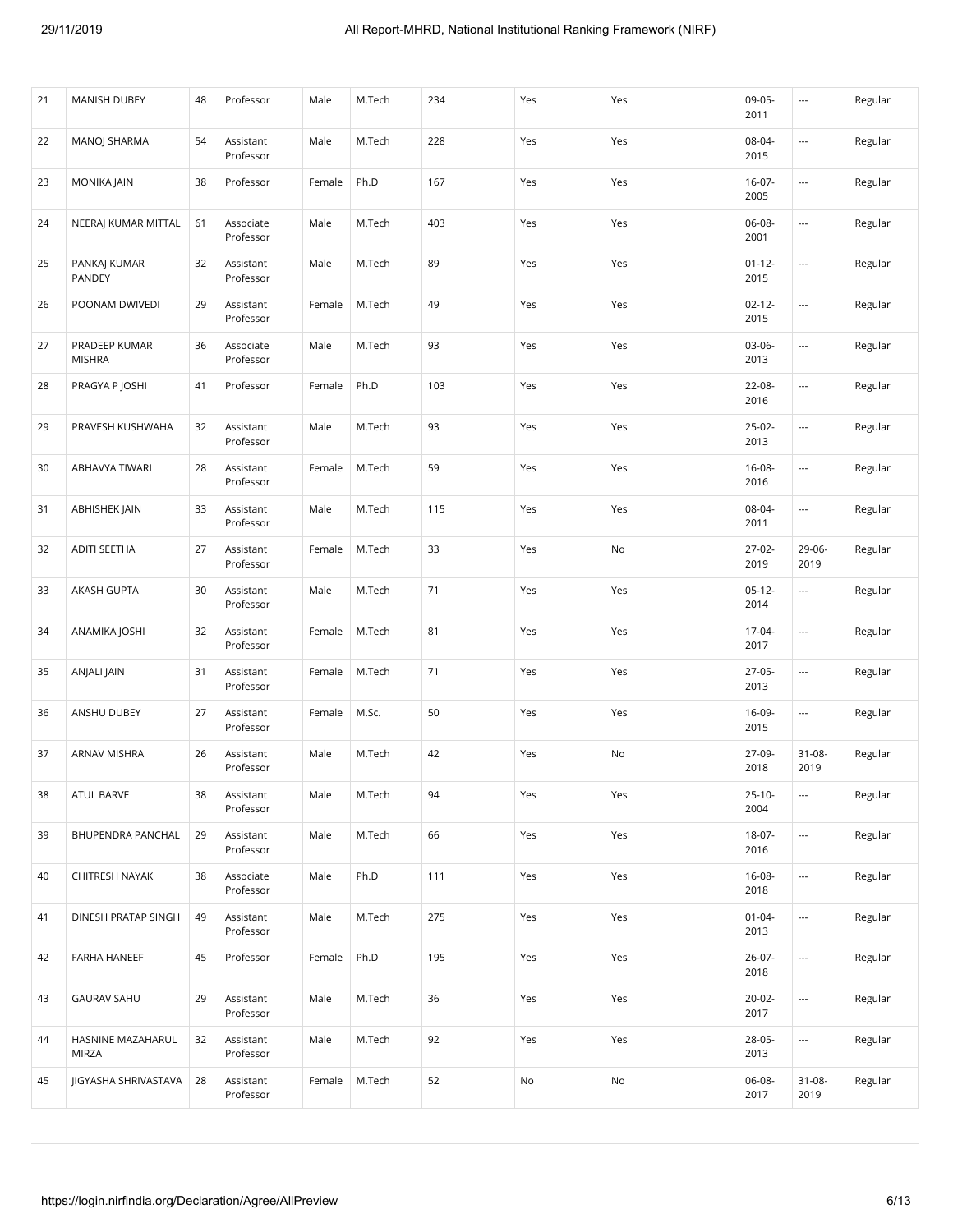| 21 | MANISH DUBEY                      | 48 | Professor              | Male   | M.Tech | 234 | Yes | Yes | 09-05-<br>2011      | $\sim$                   | Regular |
|----|-----------------------------------|----|------------------------|--------|--------|-----|-----|-----|---------------------|--------------------------|---------|
| 22 | MANOJ SHARMA                      | 54 | Assistant<br>Professor | Male   | M.Tech | 228 | Yes | Yes | 08-04-<br>2015      | $\overline{a}$           | Regular |
| 23 | MONIKA JAIN                       | 38 | Professor              | Female | Ph.D   | 167 | Yes | Yes | $16-07-$<br>2005    | $\overline{\phantom{a}}$ | Regular |
| 24 | NEERAJ KUMAR MITTAL               | 61 | Associate<br>Professor | Male   | M.Tech | 403 | Yes | Yes | 06-08-<br>2001      | ---                      | Regular |
| 25 | PANKAJ KUMAR<br>PANDEY            | 32 | Assistant<br>Professor | Male   | M.Tech | 89  | Yes | Yes | $01 - 12 -$<br>2015 | $\sim$                   | Regular |
| 26 | POONAM DWIVEDI                    | 29 | Assistant<br>Professor | Female | M.Tech | 49  | Yes | Yes | $02 - 12 -$<br>2015 | $\hspace{0.05cm} \ldots$ | Regular |
| 27 | PRADEEP KUMAR<br><b>MISHRA</b>    | 36 | Associate<br>Professor | Male   | M.Tech | 93  | Yes | Yes | $03-06-$<br>2013    | $\sim$                   | Regular |
| 28 | PRAGYA P JOSHI                    | 41 | Professor              | Female | Ph.D   | 103 | Yes | Yes | $22 - 08 -$<br>2016 | ---                      | Regular |
| 29 | PRAVESH KUSHWAHA                  | 32 | Assistant<br>Professor | Male   | M.Tech | 93  | Yes | Yes | 25-02-<br>2013      | ---                      | Regular |
| 30 | ABHAVYA TIWARI                    | 28 | Assistant<br>Professor | Female | M.Tech | 59  | Yes | Yes | $16 - 08 -$<br>2016 |                          | Regular |
| 31 | ABHISHEK JAIN                     | 33 | Assistant<br>Professor | Male   | M.Tech | 115 | Yes | Yes | 08-04-<br>2011      | $\overline{\phantom{a}}$ | Regular |
| 32 | <b>ADITI SEETHA</b>               | 27 | Assistant<br>Professor | Female | M.Tech | 33  | Yes | No  | 27-02-<br>2019      | 29-06-<br>2019           | Regular |
| 33 | AKASH GUPTA                       | 30 | Assistant<br>Professor | Male   | M.Tech | 71  | Yes | Yes | $05-12-$<br>2014    | $\overline{\phantom{a}}$ | Regular |
| 34 | ANAMIKA JOSHI                     | 32 | Assistant<br>Professor | Female | M.Tech | 81  | Yes | Yes | 17-04-<br>2017      | ---                      | Regular |
| 35 | ANJALI JAIN                       | 31 | Assistant<br>Professor | Female | M.Tech | 71  | Yes | Yes | 27-05-<br>2013      | ---                      | Regular |
| 36 | ANSHU DUBEY                       | 27 | Assistant<br>Professor | Female | M.Sc.  | 50  | Yes | Yes | 16-09-<br>2015      | ---                      | Regular |
| 37 | ARNAV MISHRA                      | 26 | Assistant<br>Professor | Male   | M.Tech | 42  | Yes | No  | 27-09-<br>2018      | $31 - 08 -$<br>2019      | Regular |
| 38 | ATUL BARVE                        | 38 | Assistant<br>Professor | Male   | M.Tech | 94  | Yes | Yes | $25 - 10 -$<br>2004 |                          | Regular |
| 39 | BHUPENDRA PANCHAL                 | 29 | Assistant<br>Professor | Male   | M.Tech | 66  | Yes | Yes | 18-07-<br>2016      | $\overline{\phantom{a}}$ | Regular |
| 40 | CHITRESH NAYAK                    | 38 | Associate<br>Professor | Male   | Ph.D   | 111 | Yes | Yes | $16 - 08 -$<br>2018 | ---                      | Regular |
| 41 | DINESH PRATAP SINGH               | 49 | Assistant<br>Professor | Male   | M.Tech | 275 | Yes | Yes | $01 - 04 -$<br>2013 | ---                      | Regular |
| 42 | FARHA HANEEF                      | 45 | Professor              | Female | Ph.D   | 195 | Yes | Yes | $26-07-$<br>2018    | ---                      | Regular |
| 43 | <b>GAURAV SAHU</b>                | 29 | Assistant<br>Professor | Male   | M.Tech | 36  | Yes | Yes | 20-02-<br>2017      |                          | Regular |
| 44 | HASNINE MAZAHARUL<br><b>MIRZA</b> | 32 | Assistant<br>Professor | Male   | M.Tech | 92  | Yes | Yes | 28-05-<br>2013      | $\overline{\phantom{a}}$ | Regular |
| 45 | JIGYASHA SHRIVASTAVA              | 28 | Assistant<br>Professor | Female | M.Tech | 52  | No  | No  | 06-08-<br>2017      | $31 - 08 -$<br>2019      | Regular |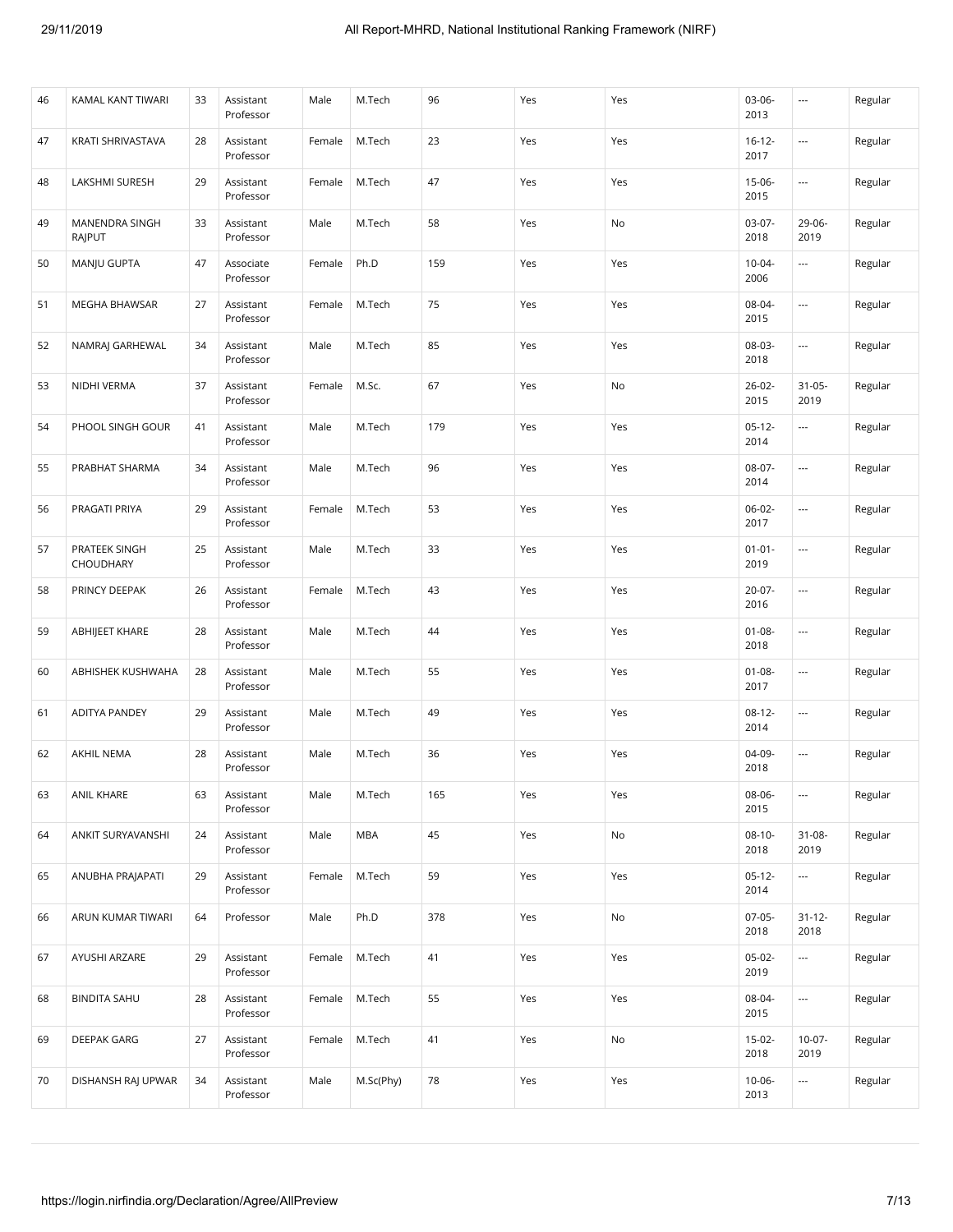| 46 | KAMAL KANT TIWARI          | 33 | Assistant<br>Professor | Male   | M.Tech     | 96  | Yes | Yes | $03-06-$<br>2013    | $\sim$              | Regular |
|----|----------------------------|----|------------------------|--------|------------|-----|-----|-----|---------------------|---------------------|---------|
| 47 | KRATI SHRIVASTAVA          | 28 | Assistant<br>Professor | Female | M.Tech     | 23  | Yes | Yes | $16 - 12 -$<br>2017 | ---                 | Regular |
| 48 | LAKSHMI SURESH             | 29 | Assistant<br>Professor | Female | M.Tech     | 47  | Yes | Yes | $15-06-$<br>2015    |                     | Regular |
| 49 | MANENDRA SINGH<br>RAJPUT   | 33 | Assistant<br>Professor | Male   | M.Tech     | 58  | Yes | No  | $03-07-$<br>2018    | 29-06-<br>2019      | Regular |
| 50 | MANJU GUPTA                | 47 | Associate<br>Professor | Female | Ph.D       | 159 | Yes | Yes | $10 - 04 -$<br>2006 | ---                 | Regular |
| 51 | <b>MEGHA BHAWSAR</b>       | 27 | Assistant<br>Professor | Female | M.Tech     | 75  | Yes | Yes | 08-04-<br>2015      | ---                 | Regular |
| 52 | NAMRAJ GARHEWAL            | 34 | Assistant<br>Professor | Male   | M.Tech     | 85  | Yes | Yes | 08-03-<br>2018      |                     | Regular |
| 53 | NIDHI VERMA                | 37 | Assistant<br>Professor | Female | M.Sc.      | 67  | Yes | No  | $26 - 02 -$<br>2015 | $31 - 05 -$<br>2019 | Regular |
| 54 | PHOOL SINGH GOUR           | 41 | Assistant<br>Professor | Male   | M.Tech     | 179 | Yes | Yes | $05 - 12 -$<br>2014 | ---                 | Regular |
| 55 | PRABHAT SHARMA             | 34 | Assistant<br>Professor | Male   | M.Tech     | 96  | Yes | Yes | $08-07-$<br>2014    | ---                 | Regular |
| 56 | PRAGATI PRIYA              | 29 | Assistant<br>Professor | Female | M.Tech     | 53  | Yes | Yes | 06-02-<br>2017      | ---                 | Regular |
| 57 | PRATEEK SINGH<br>CHOUDHARY | 25 | Assistant<br>Professor | Male   | M.Tech     | 33  | Yes | Yes | $01 - 01 -$<br>2019 | ---                 | Regular |
| 58 | PRINCY DEEPAK              | 26 | Assistant<br>Professor | Female | M.Tech     | 43  | Yes | Yes | $20-07-$<br>2016    | ---                 | Regular |
| 59 | ABHIJEET KHARE             | 28 | Assistant<br>Professor | Male   | M.Tech     | 44  | Yes | Yes | $01 - 08 -$<br>2018 | ---                 | Regular |
| 60 | ABHISHEK KUSHWAHA          | 28 | Assistant<br>Professor | Male   | M.Tech     | 55  | Yes | Yes | $01 - 08 -$<br>2017 | ---                 | Regular |
| 61 | <b>ADITYA PANDEY</b>       | 29 | Assistant<br>Professor | Male   | M.Tech     | 49  | Yes | Yes | $08-12-$<br>2014    | ---                 | Regular |
| 62 | AKHIL NEMA                 | 28 | Assistant<br>Professor | Male   | M.Tech     | 36  | Yes | Yes | 04-09-<br>2018      | ---                 | Regular |
| 63 | <b>ANIL KHARE</b>          | 63 | Assistant<br>Professor | Male   | M.Tech     | 165 | Yes | Yes | 08-06-<br>2015      | ---                 | Regular |
| 64 | ANKIT SURYAVANSHI          | 24 | Assistant<br>Professor | Male   | <b>MBA</b> | 45  | Yes | No  | $08-10-$<br>2018    | 31-08-<br>2019      | Regular |
| 65 | ANUBHA PRAJAPATI           | 29 | Assistant<br>Professor | Female | M.Tech     | 59  | Yes | Yes | $05-12-$<br>2014    | ---                 | Regular |
| 66 | ARUN KUMAR TIWARI          | 64 | Professor              | Male   | Ph.D       | 378 | Yes | No  | $07-05-$<br>2018    | $31 - 12 -$<br>2018 | Regular |
| 67 | AYUSHI ARZARE              | 29 | Assistant<br>Professor | Female | M.Tech     | 41  | Yes | Yes | $05-02-$<br>2019    | ---                 | Regular |
| 68 | <b>BINDITA SAHU</b>        | 28 | Assistant<br>Professor | Female | M.Tech     | 55  | Yes | Yes | 08-04-<br>2015      | ---                 | Regular |
| 69 | DEEPAK GARG                | 27 | Assistant<br>Professor | Female | M.Tech     | 41  | Yes | No  | $15-02-$<br>2018    | $10-07 -$<br>2019   | Regular |
| 70 | DISHANSH RAJ UPWAR         | 34 | Assistant<br>Professor | Male   | M.Sc(Phy)  | 78  | Yes | Yes | $10-06-$<br>2013    | ---                 | Regular |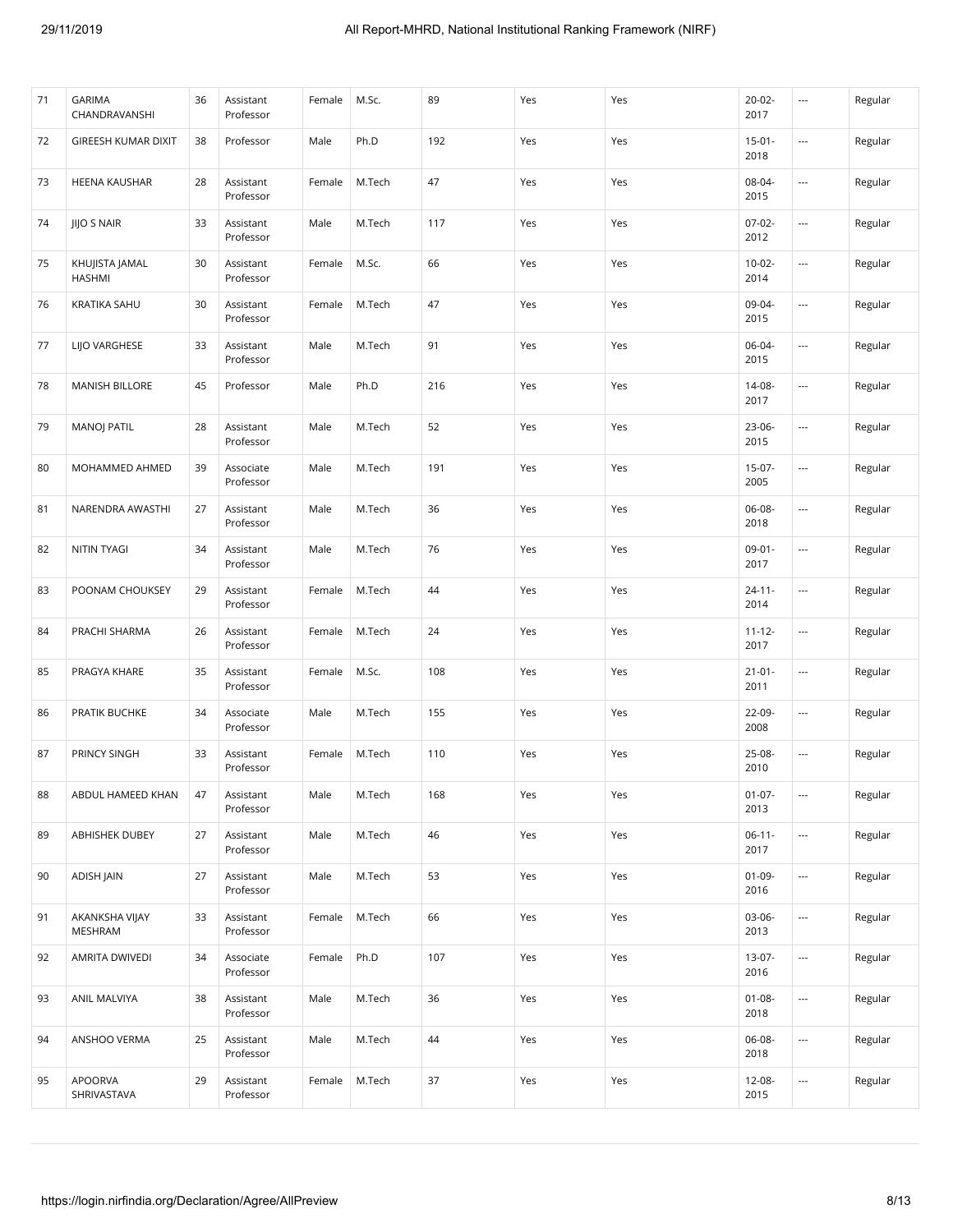| 71 | <b>GARIMA</b><br>CHANDRAVANSHI  | 36 | Assistant<br>Professor | Female | M.Sc.  | 89  | Yes | Yes | $20-02 -$<br>2017   | $\overline{\phantom{a}}$ | Regular |
|----|---------------------------------|----|------------------------|--------|--------|-----|-----|-----|---------------------|--------------------------|---------|
| 72 | GIREESH KUMAR DIXIT             | 38 | Professor              | Male   | Ph.D   | 192 | Yes | Yes | $15-01 -$<br>2018   | ---                      | Regular |
| 73 | <b>HEENA KAUSHAR</b>            | 28 | Assistant<br>Professor | Female | M.Tech | 47  | Yes | Yes | 08-04-<br>2015      | ---                      | Regular |
| 74 | <b>JIJO S NAIR</b>              | 33 | Assistant<br>Professor | Male   | M.Tech | 117 | Yes | Yes | $07-02-$<br>2012    | ---                      | Regular |
| 75 | KHUJISTA JAMAL<br><b>HASHMI</b> | 30 | Assistant<br>Professor | Female | M.Sc.  | 66  | Yes | Yes | $10-02 -$<br>2014   | ---                      | Regular |
| 76 | <b>KRATIKA SAHU</b>             | 30 | Assistant<br>Professor | Female | M.Tech | 47  | Yes | Yes | 09-04-<br>2015      | ---                      | Regular |
| 77 | LIJO VARGHESE                   | 33 | Assistant<br>Professor | Male   | M.Tech | 91  | Yes | Yes | 06-04-<br>2015      |                          | Regular |
| 78 | <b>MANISH BILLORE</b>           | 45 | Professor              | Male   | Ph.D   | 216 | Yes | Yes | 14-08-<br>2017      | $\overline{\phantom{a}}$ | Regular |
| 79 | <b>MANOJ PATIL</b>              | 28 | Assistant<br>Professor | Male   | M.Tech | 52  | Yes | Yes | $23 - 06 -$<br>2015 | $\overline{\phantom{a}}$ | Regular |
| 80 | MOHAMMED AHMED                  | 39 | Associate<br>Professor | Male   | M.Tech | 191 | Yes | Yes | $15-07-$<br>2005    | $\overline{\phantom{a}}$ | Regular |
| 81 | NARENDRA AWASTHI                | 27 | Assistant<br>Professor | Male   | M.Tech | 36  | Yes | Yes | 06-08-<br>2018      | ---                      | Regular |
| 82 | <b>NITIN TYAGI</b>              | 34 | Assistant<br>Professor | Male   | M.Tech | 76  | Yes | Yes | $09-01-$<br>2017    | $\overline{\phantom{a}}$ | Regular |
| 83 | POONAM CHOUKSEY                 | 29 | Assistant<br>Professor | Female | M.Tech | 44  | Yes | Yes | $24 - 11 -$<br>2014 | ---                      | Regular |
| 84 | PRACHI SHARMA                   | 26 | Assistant<br>Professor | Female | M.Tech | 24  | Yes | Yes | $11 - 12 -$<br>2017 | $\overline{\phantom{a}}$ | Regular |
| 85 | PRAGYA KHARE                    | 35 | Assistant<br>Professor | Female | M.Sc.  | 108 | Yes | Yes | $21 - 01 -$<br>2011 | ---                      | Regular |
| 86 | PRATIK BUCHKE                   | 34 | Associate<br>Professor | Male   | M.Tech | 155 | Yes | Yes | 22-09-<br>2008      | ---                      | Regular |
| 87 | PRINCY SINGH                    | 33 | Assistant<br>Professor | Female | M.Tech | 110 | Yes | Yes | 25-08-<br>2010      | $\overline{\phantom{a}}$ | Regular |
| 88 | ABDUL HAMEED KHAN               | 47 | Assistant<br>Professor | Male   | M.Tech | 168 | Yes | Yes | $01 - 07 -$<br>2013 | ---                      | Regular |
| 89 | ABHISHEK DUBEY                  | 27 | Assistant<br>Professor | Male   | M.Tech | 46  | Yes | Yes | $06-11-$<br>2017    | ---                      | Regular |
| 90 | ADISH JAIN                      | 27 | Assistant<br>Professor | Male   | M.Tech | 53  | Yes | Yes | $01-09-$<br>2016    |                          | Regular |
| 91 | AKANKSHA VIJAY<br>MESHRAM       | 33 | Assistant<br>Professor | Female | M.Tech | 66  | Yes | Yes | 03-06-<br>2013      | ---                      | Regular |
| 92 | AMRITA DWIVEDI                  | 34 | Associate<br>Professor | Female | Ph.D   | 107 | Yes | Yes | 13-07-<br>2016      |                          | Regular |
| 93 | ANIL MALVIYA                    | 38 | Assistant<br>Professor | Male   | M.Tech | 36  | Yes | Yes | $01 - 08 -$<br>2018 |                          | Regular |
| 94 | ANSHOO VERMA                    | 25 | Assistant<br>Professor | Male   | M.Tech | 44  | Yes | Yes | 06-08-<br>2018      | ---                      | Regular |
| 95 | <b>APOORVA</b><br>SHRIVASTAVA   | 29 | Assistant<br>Professor | Female | M.Tech | 37  | Yes | Yes | $12 - 08 -$<br>2015 | ---                      | Regular |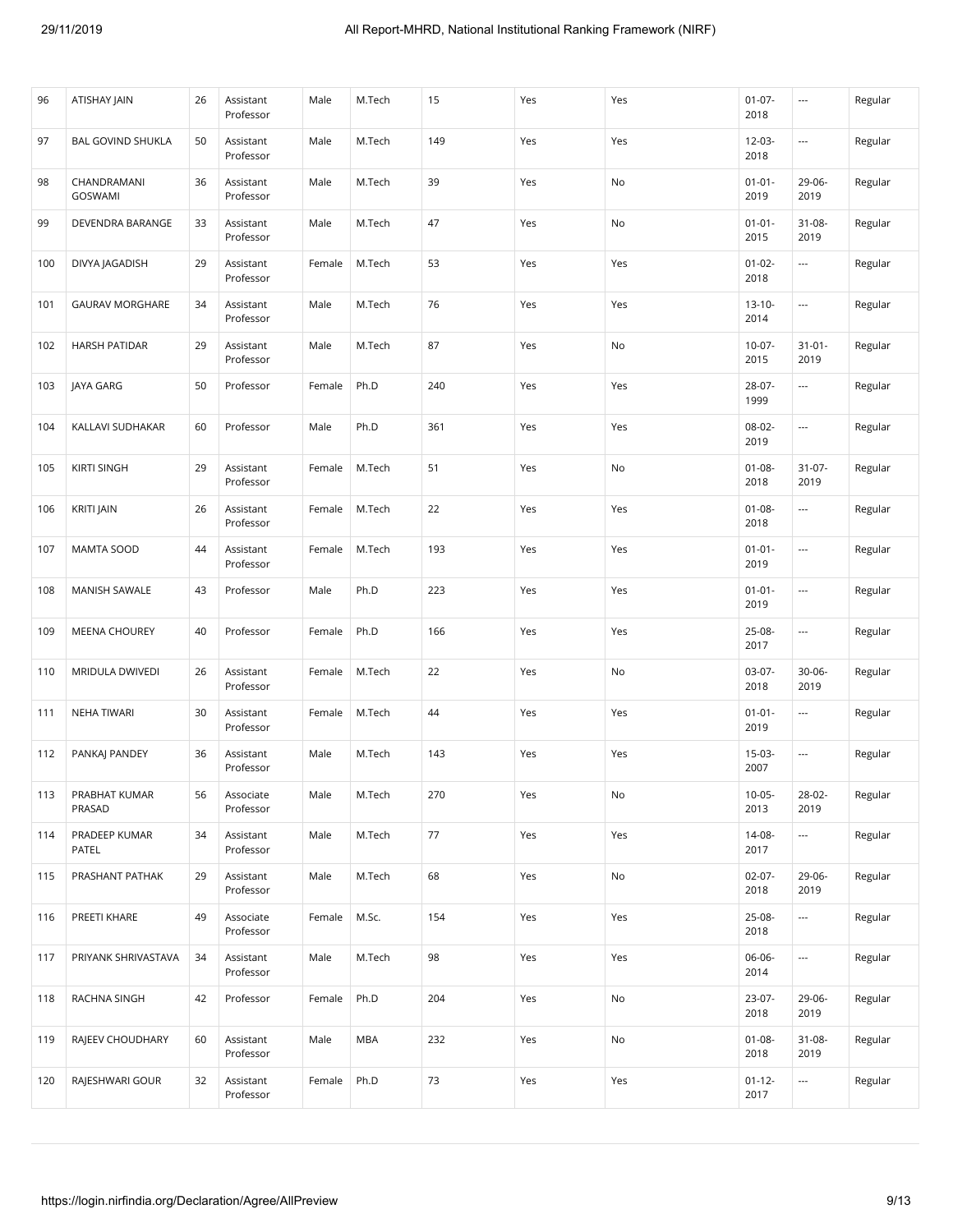| 96  | ATISHAY JAIN                  | 26 | Assistant<br>Professor | Male   | M.Tech     | 15  | Yes | Yes | $01 - 07 -$<br>2018 | $\sim$              | Regular |
|-----|-------------------------------|----|------------------------|--------|------------|-----|-----|-----|---------------------|---------------------|---------|
| 97  | <b>BAL GOVIND SHUKLA</b>      | 50 | Assistant<br>Professor | Male   | M.Tech     | 149 | Yes | Yes | $12 - 03 -$<br>2018 | ---                 | Regular |
| 98  | CHANDRAMANI<br><b>GOSWAMI</b> | 36 | Assistant<br>Professor | Male   | M.Tech     | 39  | Yes | No  | $01 - 01 -$<br>2019 | 29-06-<br>2019      | Regular |
| 99  | DEVENDRA BARANGE              | 33 | Assistant<br>Professor | Male   | M.Tech     | 47  | Yes | No  | $01 - 01 -$<br>2015 | 31-08-<br>2019      | Regular |
| 100 | DIVYA JAGADISH                | 29 | Assistant<br>Professor | Female | M.Tech     | 53  | Yes | Yes | $01 - 02 -$<br>2018 | ---                 | Regular |
| 101 | <b>GAURAV MORGHARE</b>        | 34 | Assistant<br>Professor | Male   | M.Tech     | 76  | Yes | Yes | $13 - 10 -$<br>2014 | ---                 | Regular |
| 102 | <b>HARSH PATIDAR</b>          | 29 | Assistant<br>Professor | Male   | M.Tech     | 87  | Yes | No  | $10-07 -$<br>2015   | $31 - 01 -$<br>2019 | Regular |
| 103 | JAYA GARG                     | 50 | Professor              | Female | Ph.D       | 240 | Yes | Yes | 28-07-<br>1999      | ---                 | Regular |
| 104 | KALLAVI SUDHAKAR              | 60 | Professor              | Male   | Ph.D       | 361 | Yes | Yes | 08-02-<br>2019      | ---                 | Regular |
| 105 | <b>KIRTI SINGH</b>            | 29 | Assistant<br>Professor | Female | M.Tech     | 51  | Yes | No  | $01 - 08 -$<br>2018 | $31-07-$<br>2019    | Regular |
| 106 | <b>KRITI JAIN</b>             | 26 | Assistant<br>Professor | Female | M.Tech     | 22  | Yes | Yes | $01 - 08 -$<br>2018 |                     | Regular |
| 107 | <b>MAMTA SOOD</b>             | 44 | Assistant<br>Professor | Female | M.Tech     | 193 | Yes | Yes | $01 - 01 -$<br>2019 | ---                 | Regular |
| 108 | MANISH SAWALE                 | 43 | Professor              | Male   | Ph.D       | 223 | Yes | Yes | $01 - 01 -$<br>2019 | ---                 | Regular |
| 109 | <b>MEENA CHOUREY</b>          | 40 | Professor              | Female | Ph.D       | 166 | Yes | Yes | 25-08-<br>2017      |                     | Regular |
| 110 | MRIDULA DWIVEDI               | 26 | Assistant<br>Professor | Female | M.Tech     | 22  | Yes | No  | $03-07-$<br>2018    | 30-06-<br>2019      | Regular |
| 111 | NEHA TIWARI                   | 30 | Assistant<br>Professor | Female | M.Tech     | 44  | Yes | Yes | $01 - 01 -$<br>2019 | ---                 | Regular |
| 112 | PANKAJ PANDEY                 | 36 | Assistant<br>Professor | Male   | M.Tech     | 143 | Yes | Yes | $15-03-$<br>2007    | ---                 | Regular |
| 113 | PRABHAT KUMAR<br>PRASAD       | 56 | Associate<br>Professor | Male   | M.Tech     | 270 | Yes | No  | $10-05 -$<br>2013   | 28-02-<br>2019      | Regular |
| 114 | PRADEEP KUMAR<br>PATEL        | 34 | Assistant<br>Professor | Male   | M.Tech     | 77  | Yes | Yes | 14-08-<br>2017      | ---                 | Regular |
| 115 | PRASHANT PATHAK               | 29 | Assistant<br>Professor | Male   | M.Tech     | 68  | Yes | No  | $02-07-$<br>2018    | 29-06-<br>2019      | Regular |
| 116 | PREETI KHARE                  | 49 | Associate<br>Professor | Female | M.Sc.      | 154 | Yes | Yes | 25-08-<br>2018      | ---                 | Regular |
| 117 | PRIYANK SHRIVASTAVA           | 34 | Assistant<br>Professor | Male   | M.Tech     | 98  | Yes | Yes | 06-06-<br>2014      | ---                 | Regular |
| 118 | RACHNA SINGH                  | 42 | Professor              | Female | Ph.D       | 204 | Yes | No  | 23-07-<br>2018      | 29-06-<br>2019      | Regular |
| 119 | RAJEEV CHOUDHARY              | 60 | Assistant<br>Professor | Male   | <b>MBA</b> | 232 | Yes | No  | $01 - 08 -$<br>2018 | 31-08-<br>2019      | Regular |
| 120 | RAJESHWARI GOUR               | 32 | Assistant<br>Professor | Female | Ph.D       | 73  | Yes | Yes | $01 - 12 -$<br>2017 | ---                 | Regular |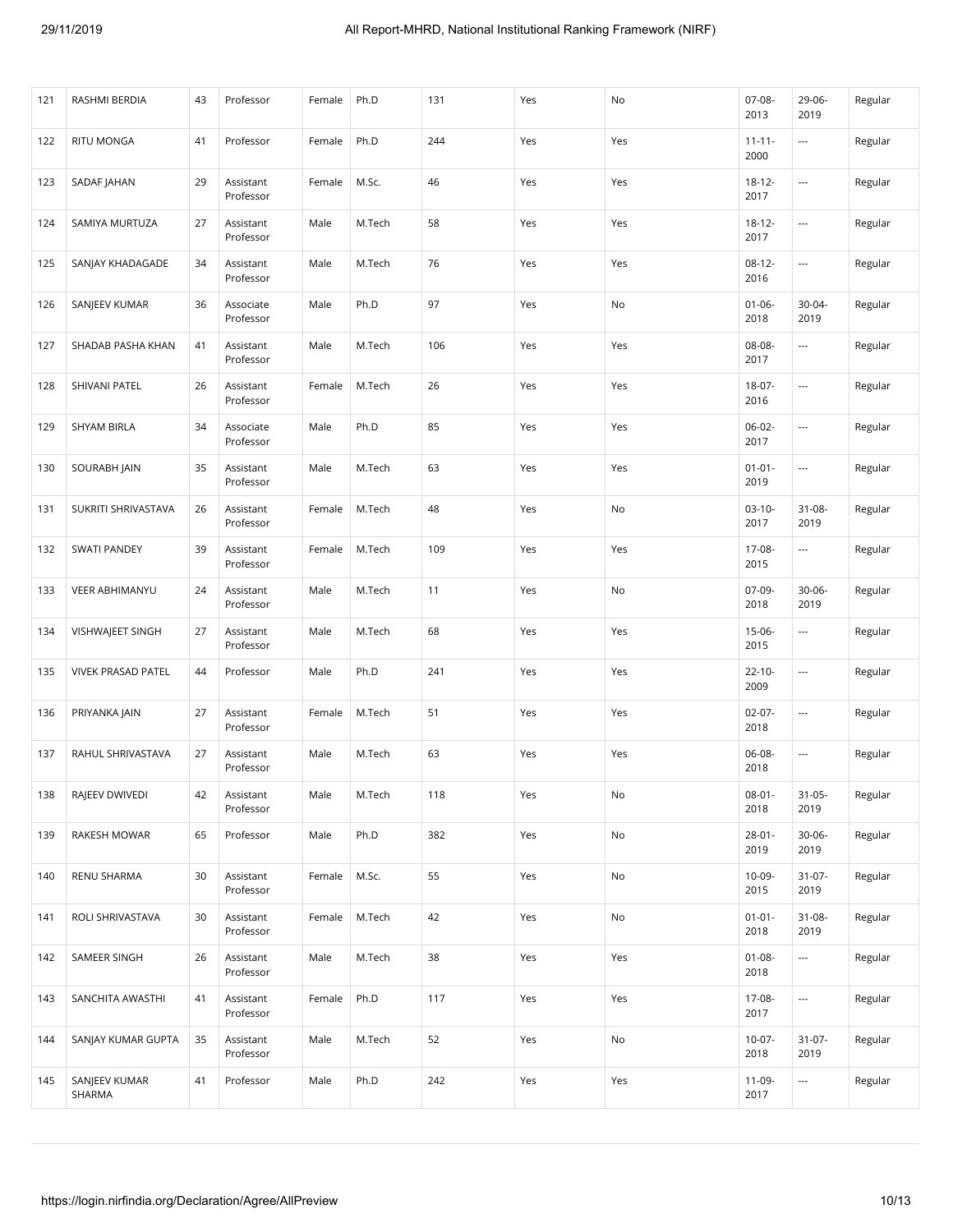| 121 | RASHMI BERDIA             | 43 | Professor              | Female | Ph.D   | 131 | Yes | No  | $07-08-$<br>2013    | 29-06-<br>2019           | Regular |
|-----|---------------------------|----|------------------------|--------|--------|-----|-----|-----|---------------------|--------------------------|---------|
| 122 | <b>RITU MONGA</b>         | 41 | Professor              | Female | Ph.D   | 244 | Yes | Yes | $11 - 11 -$<br>2000 | $\overline{\phantom{a}}$ | Regular |
| 123 | SADAF JAHAN               | 29 | Assistant<br>Professor | Female | M.Sc.  | 46  | Yes | Yes | $18 - 12 -$<br>2017 | ---                      | Regular |
| 124 | SAMIYA MURTUZA            | 27 | Assistant<br>Professor | Male   | M.Tech | 58  | Yes | Yes | $18 - 12 -$<br>2017 | $\overline{\phantom{a}}$ | Regular |
| 125 | SANJAY KHADAGADE          | 34 | Assistant<br>Professor | Male   | M.Tech | 76  | Yes | Yes | $08 - 12 -$<br>2016 | ---                      | Regular |
| 126 | SANJEEV KUMAR             | 36 | Associate<br>Professor | Male   | Ph.D   | 97  | Yes | No  | $01 - 06 -$<br>2018 | 30-04-<br>2019           | Regular |
| 127 | SHADAB PASHA KHAN         | 41 | Assistant<br>Professor | Male   | M.Tech | 106 | Yes | Yes | 08-08-<br>2017      | ---                      | Regular |
| 128 | SHIVANI PATEL             | 26 | Assistant<br>Professor | Female | M.Tech | 26  | Yes | Yes | 18-07-<br>2016      | ---                      | Regular |
| 129 | <b>SHYAM BIRLA</b>        | 34 | Associate<br>Professor | Male   | Ph.D   | 85  | Yes | Yes | $06-02-$<br>2017    | ---                      | Regular |
| 130 | SOURABH JAIN              | 35 | Assistant<br>Professor | Male   | M.Tech | 63  | Yes | Yes | $01 - 01 -$<br>2019 | $\overline{\phantom{a}}$ | Regular |
| 131 | SUKRITI SHRIVASTAVA       | 26 | Assistant<br>Professor | Female | M.Tech | 48  | Yes | No  | $03-10-$<br>2017    | $31 - 08 -$<br>2019      | Regular |
| 132 | <b>SWATI PANDEY</b>       | 39 | Assistant<br>Professor | Female | M.Tech | 109 | Yes | Yes | 17-08-<br>2015      | $\overline{\phantom{a}}$ | Regular |
| 133 | <b>VEER ABHIMANYU</b>     | 24 | Assistant<br>Professor | Male   | M.Tech | 11  | Yes | No  | $07-09-$<br>2018    | $30 - 06 -$<br>2019      | Regular |
| 134 | VISHWAJEET SINGH          | 27 | Assistant<br>Professor | Male   | M.Tech | 68  | Yes | Yes | $15-06-$<br>2015    | $\overline{\phantom{a}}$ | Regular |
| 135 | <b>VIVEK PRASAD PATEL</b> | 44 | Professor              | Male   | Ph.D   | 241 | Yes | Yes | $22 - 10 -$<br>2009 | ---                      | Regular |
| 136 | PRIYANKA JAIN             | 27 | Assistant<br>Professor | Female | M.Tech | 51  | Yes | Yes | $02-07-$<br>2018    | $\overline{\phantom{a}}$ | Regular |
| 137 | RAHUL SHRIVASTAVA         | 27 | Assistant<br>Professor | Male   | M.Tech | 63  | Yes | Yes | 06-08-<br>2018      | $\overline{\phantom{a}}$ | Regular |
| 138 | RAJEEV DWIVEDI            | 42 | Assistant<br>Professor | Male   | M.Tech | 118 | Yes | No  | $08 - 01 -$<br>2018 | $31 - 05 -$<br>2019      | Regular |
| 139 | RAKESH MOWAR              | 65 | Professor              | Male   | Ph.D   | 382 | Yes | No  | $28 - 01 -$<br>2019 | 30-06-<br>2019           | Regular |
| 140 | RENU SHARMA               | 30 | Assistant<br>Professor | Female | M.Sc.  | 55  | Yes | No  | 10-09-<br>2015      | $31-07-$<br>2019         | Regular |
| 141 | ROLI SHRIVASTAVA          | 30 | Assistant<br>Professor | Female | M.Tech | 42  | Yes | No  | $01 - 01 -$<br>2018 | $31 - 08 -$<br>2019      | Regular |
| 142 | SAMEER SINGH              | 26 | Assistant<br>Professor | Male   | M.Tech | 38  | Yes | Yes | $01 - 08 -$<br>2018 | ---                      | Regular |
| 143 | SANCHITA AWASTHI          | 41 | Assistant<br>Professor | Female | Ph.D   | 117 | Yes | Yes | 17-08-<br>2017      | $\overline{\phantom{a}}$ | Regular |
| 144 | SANJAY KUMAR GUPTA        | 35 | Assistant<br>Professor | Male   | M.Tech | 52  | Yes | No  | $10-07 -$<br>2018   | $31-07-$<br>2019         | Regular |
| 145 | SANJEEV KUMAR<br>SHARMA   | 41 | Professor              | Male   | Ph.D   | 242 | Yes | Yes | 11-09-<br>2017      | ---                      | Regular |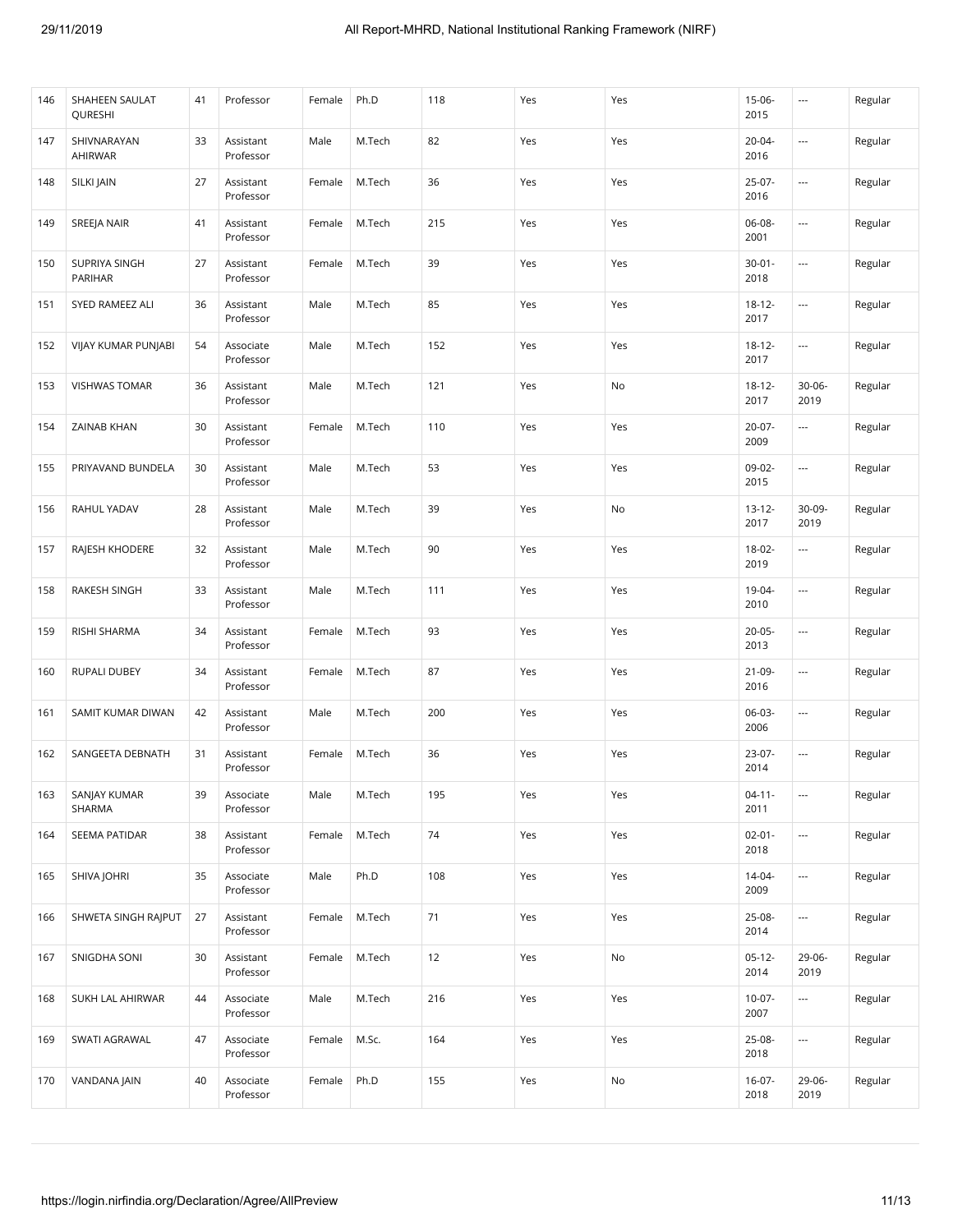| 146 | SHAHEEN SAULAT<br>QURESHI | 41 | Professor              | Female | Ph.D   | 118    | Yes | Yes | $15-06-$<br>2015    | ---                      | Regular |
|-----|---------------------------|----|------------------------|--------|--------|--------|-----|-----|---------------------|--------------------------|---------|
| 147 | SHIVNARAYAN<br>AHIRWAR    | 33 | Assistant<br>Professor | Male   | M.Tech | 82     | Yes | Yes | $20 - 04 -$<br>2016 | ---                      | Regular |
| 148 | SILKI JAIN                | 27 | Assistant<br>Professor | Female | M.Tech | 36     | Yes | Yes | $25-07-$<br>2016    | $\overline{\phantom{a}}$ | Regular |
| 149 | SREEJA NAIR               | 41 | Assistant<br>Professor | Female | M.Tech | 215    | Yes | Yes | $06-08-$<br>2001    | ---                      | Regular |
| 150 | SUPRIYA SINGH<br>PARIHAR  | 27 | Assistant<br>Professor | Female | M.Tech | 39     | Yes | Yes | $30 - 01 -$<br>2018 | $\overline{\phantom{a}}$ | Regular |
| 151 | SYED RAMEEZ ALI           | 36 | Assistant<br>Professor | Male   | M.Tech | 85     | Yes | Yes | $18 - 12 -$<br>2017 | ---                      | Regular |
| 152 | VIJAY KUMAR PUNJABI       | 54 | Associate<br>Professor | Male   | M.Tech | 152    | Yes | Yes | $18 - 12 -$<br>2017 | $\overline{\phantom{a}}$ | Regular |
| 153 | <b>VISHWAS TOMAR</b>      | 36 | Assistant<br>Professor | Male   | M.Tech | 121    | Yes | No  | $18 - 12 -$<br>2017 | $30 - 06 -$<br>2019      | Regular |
| 154 | ZAINAB KHAN               | 30 | Assistant<br>Professor | Female | M.Tech | 110    | Yes | Yes | $20-07 -$<br>2009   | ---                      | Regular |
| 155 | PRIYAVAND BUNDELA         | 30 | Assistant<br>Professor | Male   | M.Tech | 53     | Yes | Yes | 09-02-<br>2015      |                          | Regular |
| 156 | RAHUL YADAV               | 28 | Assistant<br>Professor | Male   | M.Tech | 39     | Yes | No  | $13 - 12 -$<br>2017 | 30-09-<br>2019           | Regular |
| 157 | RAJESH KHODERE            | 32 | Assistant<br>Professor | Male   | M.Tech | 90     | Yes | Yes | $18-02-$<br>2019    | $\overline{\phantom{a}}$ | Regular |
| 158 | RAKESH SINGH              | 33 | Assistant<br>Professor | Male   | M.Tech | 111    | Yes | Yes | 19-04-<br>2010      | $\overline{\phantom{a}}$ | Regular |
| 159 | RISHI SHARMA              | 34 | Assistant<br>Professor | Female | M.Tech | 93     | Yes | Yes | $20 - 05 -$<br>2013 | ---                      | Regular |
| 160 | <b>RUPALI DUBEY</b>       | 34 | Assistant<br>Professor | Female | M.Tech | 87     | Yes | Yes | $21-09-$<br>2016    | $\overline{\phantom{a}}$ | Regular |
| 161 | SAMIT KUMAR DIWAN         | 42 | Assistant<br>Professor | Male   | M.Tech | 200    | Yes | Yes | 06-03-<br>2006      | ---                      | Regular |
| 162 | SANGEETA DEBNATH          | 31 | Assistant<br>Professor | Female | M.Tech | 36     | Yes | Yes | 23-07-<br>2014      | $\overline{\phantom{a}}$ | Regular |
| 163 | SANJAY KUMAR<br>SHARMA    | 39 | Associate<br>Professor | Male   | M.Tech | 195    | Yes | Yes | $04 - 11 -$<br>2011 |                          | Regular |
| 164 | SEEMA PATIDAR             | 38 | Assistant<br>Professor | Female | M.Tech | $74\,$ | Yes | Yes | $02 - 01 -$<br>2018 | ---                      | Regular |
| 165 | SHIVA JOHRI               | 35 | Associate<br>Professor | Male   | Ph.D   | 108    | Yes | Yes | $14 - 04 -$<br>2009 | ---                      | Regular |
| 166 | SHWETA SINGH RAIPUT       | 27 | Assistant<br>Professor | Female | M.Tech | 71     | Yes | Yes | 25-08-<br>2014      | ---                      | Regular |
| 167 | SNIGDHA SONI              | 30 | Assistant<br>Professor | Female | M.Tech | 12     | Yes | No  | $05-12-$<br>2014    | 29-06-<br>2019           | Regular |
| 168 | SUKH LAL AHIRWAR          | 44 | Associate<br>Professor | Male   | M.Tech | 216    | Yes | Yes | $10-07 -$<br>2007   | $\overline{\phantom{a}}$ | Regular |
| 169 | SWATI AGRAWAL             | 47 | Associate<br>Professor | Female | M.Sc.  | 164    | Yes | Yes | 25-08-<br>2018      | ---                      | Regular |
| 170 | VANDANA JAIN              | 40 | Associate<br>Professor | Female | Ph.D   | 155    | Yes | No  | $16-07-$<br>2018    | 29-06-<br>2019           | Regular |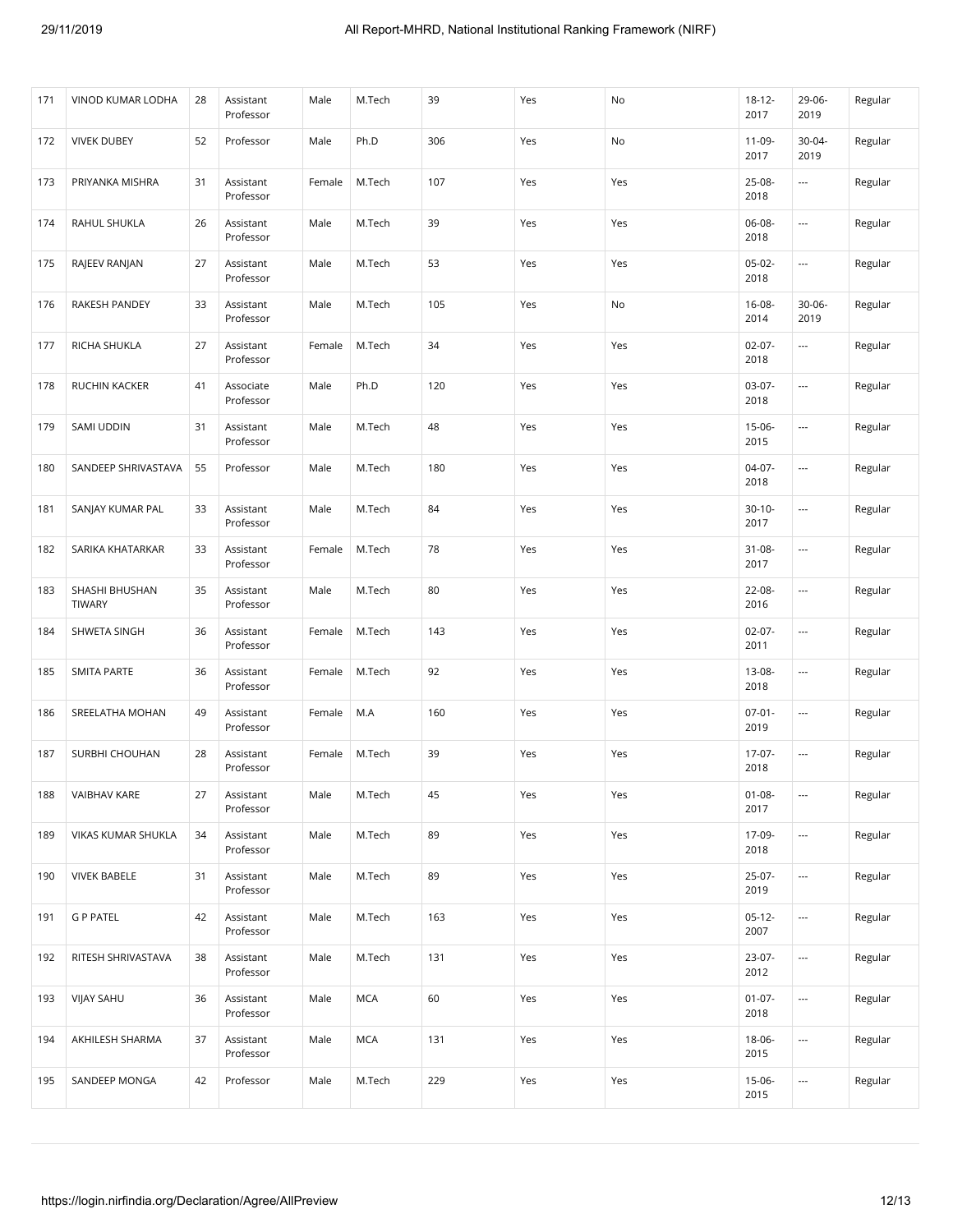| 171 | VINOD KUMAR LODHA               | 28 | Assistant<br>Professor | Male   | M.Tech     | 39  | Yes | No  | $18 - 12 -$<br>2017 | 29-06-<br>2019 | Regular |
|-----|---------------------------------|----|------------------------|--------|------------|-----|-----|-----|---------------------|----------------|---------|
| 172 | <b>VIVEK DUBEY</b>              | 52 | Professor              | Male   | Ph.D       | 306 | Yes | No  | $11-09-$<br>2017    | 30-04-<br>2019 | Regular |
| 173 | PRIYANKA MISHRA                 | 31 | Assistant<br>Professor | Female | M.Tech     | 107 | Yes | Yes | 25-08-<br>2018      | ---            | Regular |
| 174 | RAHUL SHUKLA                    | 26 | Assistant<br>Professor | Male   | M.Tech     | 39  | Yes | Yes | 06-08-<br>2018      | ---            | Regular |
| 175 | RAJEEV RANJAN                   | 27 | Assistant<br>Professor | Male   | M.Tech     | 53  | Yes | Yes | $05-02-$<br>2018    | ---            | Regular |
| 176 | <b>RAKESH PANDEY</b>            | 33 | Assistant<br>Professor | Male   | M.Tech     | 105 | Yes | No  | $16 - 08 -$<br>2014 | 30-06-<br>2019 | Regular |
| 177 | RICHA SHUKLA                    | 27 | Assistant<br>Professor | Female | M.Tech     | 34  | Yes | Yes | $02-07-$<br>2018    |                | Regular |
| 178 | RUCHIN KACKER                   | 41 | Associate<br>Professor | Male   | Ph.D       | 120 | Yes | Yes | $03-07-$<br>2018    | ---            | Regular |
| 179 | SAMI UDDIN                      | 31 | Assistant<br>Professor | Male   | M.Tech     | 48  | Yes | Yes | $15-06-$<br>2015    |                | Regular |
| 180 | SANDEEP SHRIVASTAVA             | 55 | Professor              | Male   | M.Tech     | 180 | Yes | Yes | $04-07-$<br>2018    | ---            | Regular |
| 181 | SANJAY KUMAR PAL                | 33 | Assistant<br>Professor | Male   | M.Tech     | 84  | Yes | Yes | $30-10-$<br>2017    |                | Regular |
| 182 | SARIKA KHATARKAR                | 33 | Assistant<br>Professor | Female | M.Tech     | 78  | Yes | Yes | $31 - 08 -$<br>2017 | ---            | Regular |
| 183 | SHASHI BHUSHAN<br><b>TIWARY</b> | 35 | Assistant<br>Professor | Male   | M.Tech     | 80  | Yes | Yes | 22-08-<br>2016      | ---            | Regular |
| 184 | SHWETA SINGH                    | 36 | Assistant<br>Professor | Female | M.Tech     | 143 | Yes | Yes | $02-07-$<br>2011    | ---            | Regular |
| 185 | <b>SMITA PARTE</b>              | 36 | Assistant<br>Professor | Female | M.Tech     | 92  | Yes | Yes | 13-08-<br>2018      | ---            | Regular |
| 186 | SREELATHA MOHAN                 | 49 | Assistant<br>Professor | Female | M.A        | 160 | Yes | Yes | $07 - 01 -$<br>2019 | ---            | Regular |
| 187 | SURBHI CHOUHAN                  | 28 | Assistant<br>Professor | Female | M.Tech     | 39  | Yes | Yes | 17-07-<br>2018      | ---            | Regular |
| 188 | <b>VAIBHAV KARE</b>             | 27 | Assistant<br>Professor | Male   | M.Tech     | 45  | Yes | Yes | $01 - 08 -$<br>2017 | ---            | Regular |
| 189 | VIKAS KUMAR SHUKLA              | 34 | Assistant<br>Professor | Male   | M.Tech     | 89  | Yes | Yes | 17-09-<br>2018      |                | Regular |
| 190 | <b>VIVEK BABELE</b>             | 31 | Assistant<br>Professor | Male   | M.Tech     | 89  | Yes | Yes | $25-07-$<br>2019    | ---            | Regular |
| 191 | <b>G P PATEL</b>                | 42 | Assistant<br>Professor | Male   | M.Tech     | 163 | Yes | Yes | $05-12-$<br>2007    |                | Regular |
| 192 | RITESH SHRIVASTAVA              | 38 | Assistant<br>Professor | Male   | M.Tech     | 131 | Yes | Yes | 23-07-<br>2012      | ---            | Regular |
| 193 | <b>VIJAY SAHU</b>               | 36 | Assistant<br>Professor | Male   | <b>MCA</b> | 60  | Yes | Yes | $01-07-$<br>2018    |                | Regular |
| 194 | AKHILESH SHARMA                 | 37 | Assistant<br>Professor | Male   | <b>MCA</b> | 131 | Yes | Yes | 18-06-<br>2015      | ---            | Regular |
| 195 | SANDEEP MONGA                   | 42 | Professor              | Male   | M.Tech     | 229 | Yes | Yes | $15-06-$<br>2015    | ---            | Regular |